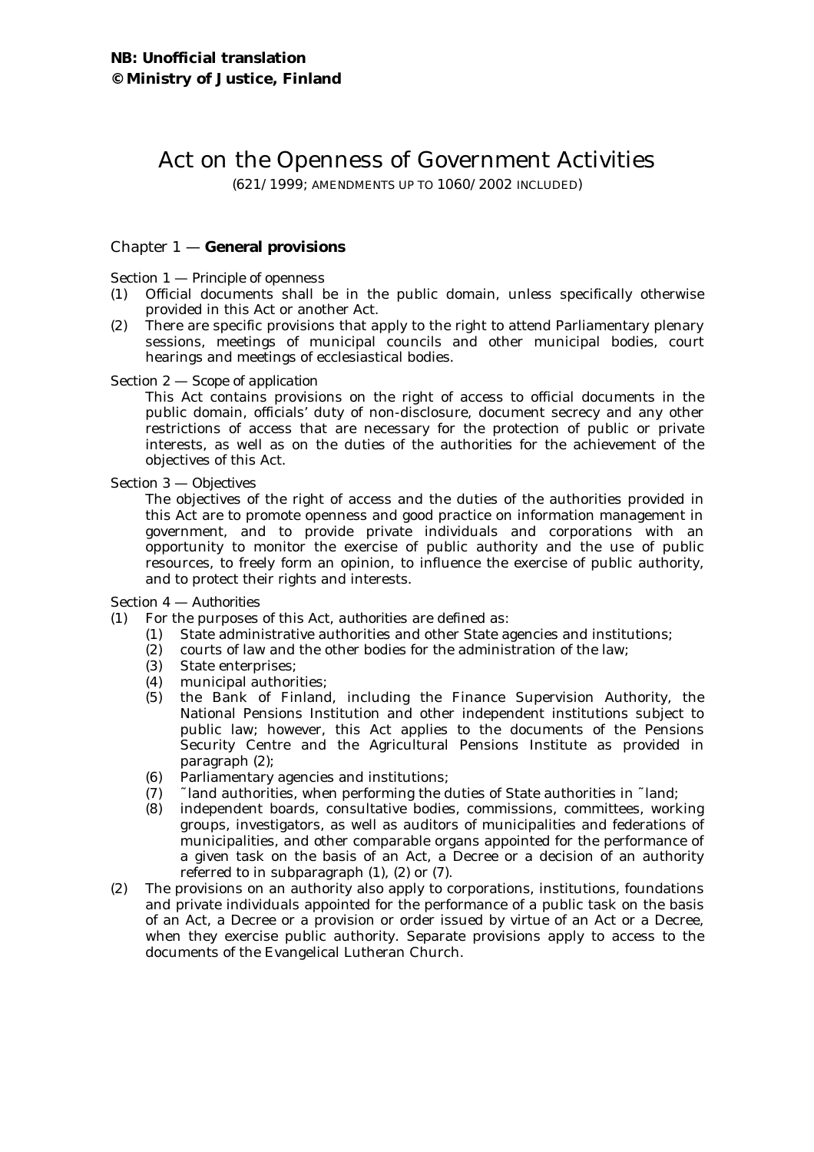# Act on the Openness of Government Activities

(621/1999; AMENDMENTS UP TO 1060/2002 INCLUDED)

# Chapter 1 — **General provisions**

## Section 1 — *Principle of openness*

- (1) Official documents shall be in the public domain, unless specifically otherwise provided in this Act or another Act.
- (2) There are specific provisions that apply to the right to attend Parliamentary plenary sessions, meetings of municipal councils and other municipal bodies, court hearings and meetings of ecclesiastical bodies.

Section 2 — *Scope of application*

This Act contains provisions on the right of access to official documents in the public domain, officials' duty of non-disclosure, document secrecy and any other restrictions of access that are necessary for the protection of public or private interests, as well as on the duties of the authorities for the achievement of the objectives of this Act.

## Section 3 — *Objectives*

The objectives of the right of access and the duties of the authorities provided in this Act are to promote openness and good practice on information management in government, and to provide private individuals and corporations with an opportunity to monitor the exercise of public authority and the use of public resources, to freely form an opinion, to influence the exercise of public authority, and to protect their rights and interests.

## Section 4 — *Authorities*

(1) For the purposes of this Act, *authorities* are defined as:

- (1) State administrative authorities and other State agencies and institutions;
- (2) courts of law and the other bodies for the administration of the law;<br>(3) State enterprises;
- State enterprises;
- (4) municipal authorities;
- (5) the Bank of Finland, including the Finance Supervision Authority, the National Pensions Institution and other independent institutions subject to public law; however, this Act applies to the documents of the Pensions Security Centre and the Agricultural Pensions Institute as provided in paragraph (2);
- (6) Parliamentary agencies and institutions;
- (7) ˜ land authorities, when performing the duties of State authorities in ˜ land;
- (8) independent boards, consultative bodies, commissions, committees, working groups, investigators, as well as auditors of municipalities and federations of municipalities, and other comparable organs appointed for the performance of a given task on the basis of an Act, a Decree or a decision of an authority referred to in subparagraph (1), (2) or (7).
- (2) The provisions on an authority also apply to corporations, institutions, foundations and private individuals appointed for the performance of a public task on the basis of an Act, a Decree or a provision or order issued by virtue of an Act or a Decree, when they exercise public authority. Separate provisions apply to access to the documents of the Evangelical Lutheran Church.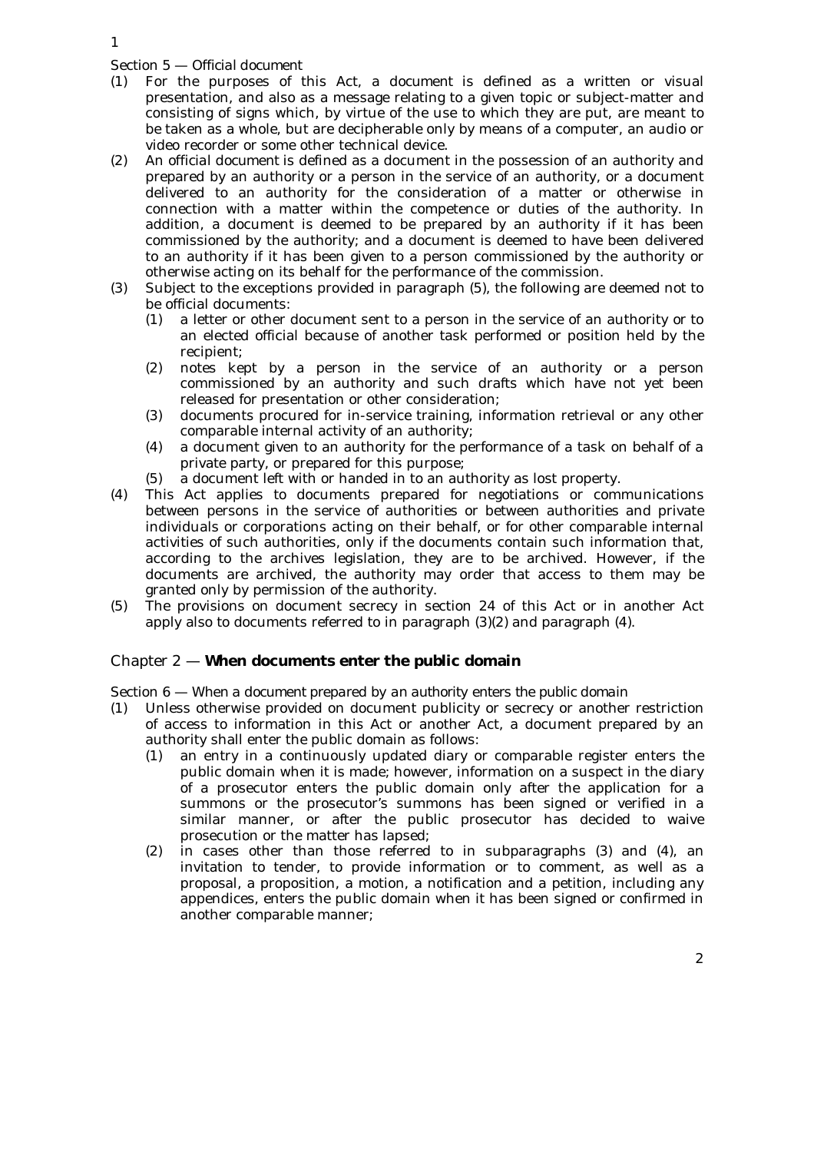Section 5 — *Official document*

- (1) For the purposes of this Act, a *document* is defined as a written or visual presentation, and also as a message relating to a given topic or subject-matter and consisting of signs which, by virtue of the use to which they are put, are meant to be taken as a whole, but are decipherable only by means of a computer, an audio or video recorder or some other technical device.
- (2) An *official document* is defined as a document in the possession of an authority and prepared by an authority or a person in the service of an authority, or a document delivered to an authority for the consideration of a matter or otherwise in connection with a matter within the competence or duties of the authority. In addition, a document is deemed to be prepared by an authority if it has been commissioned by the authority; and a document is deemed to have been delivered to an authority if it has been given to a person commissioned by the authority or otherwise acting on its behalf for the performance of the commission.
- (3) Subject to the exceptions provided in paragraph (5), the following are deemed not to be official documents:
	- (1) a letter or other document sent to a person in the service of an authority or to an elected official because of another task performed or position held by the recipient;
	- (2) notes kept by a person in the service of an authority or a person commissioned by an authority and such drafts which have not yet been released for presentation or other consideration;
	- (3) documents procured for in-service training, information retrieval or any other comparable internal activity of an authority;
	- (4) a document given to an authority for the performance of a task on behalf of a private party, or prepared for this purpose;
	- (5) a document left with or handed in to an authority as lost property.
- (4) This Act applies to documents prepared for negotiations or communications between persons in the service of authorities or between authorities and private individuals or corporations acting on their behalf, or for other comparable internal activities of such authorities, only if the documents contain such information that, according to the archives legislation, they are to be archived. However, if the documents are archived, the authority may order that access to them may be granted only by permission of the authority.
- (5) The provisions on document secrecy in section 24 of this Act or in another Act apply also to documents referred to in paragraph (3)(2) and paragraph (4).

# Chapter 2 — **When documents enter the public domain**

Section 6 — *When a document prepared by an authority enters the public domain*

- (1) Unless otherwise provided on document publicity or secrecy or another restriction of access to information in this Act or another Act, a document prepared by an authority shall enter the public domain as follows:
	- (1) an entry in a continuously updated diary or comparable register enters the public domain when it is made; however, information on a suspect in the diary of a prosecutor enters the public domain only after the application for a summons or the prosecutor's summons has been signed or verified in a similar manner, or after the public prosecutor has decided to waive prosecution or the matter has lapsed;
	- (2) in cases other than those referred to in subparagraphs (3) and (4), an invitation to tender, to provide information or to comment, as well as a proposal, a proposition, a motion, a notification and a petition, including any appendices, enters the public domain when it has been signed or confirmed in another comparable manner;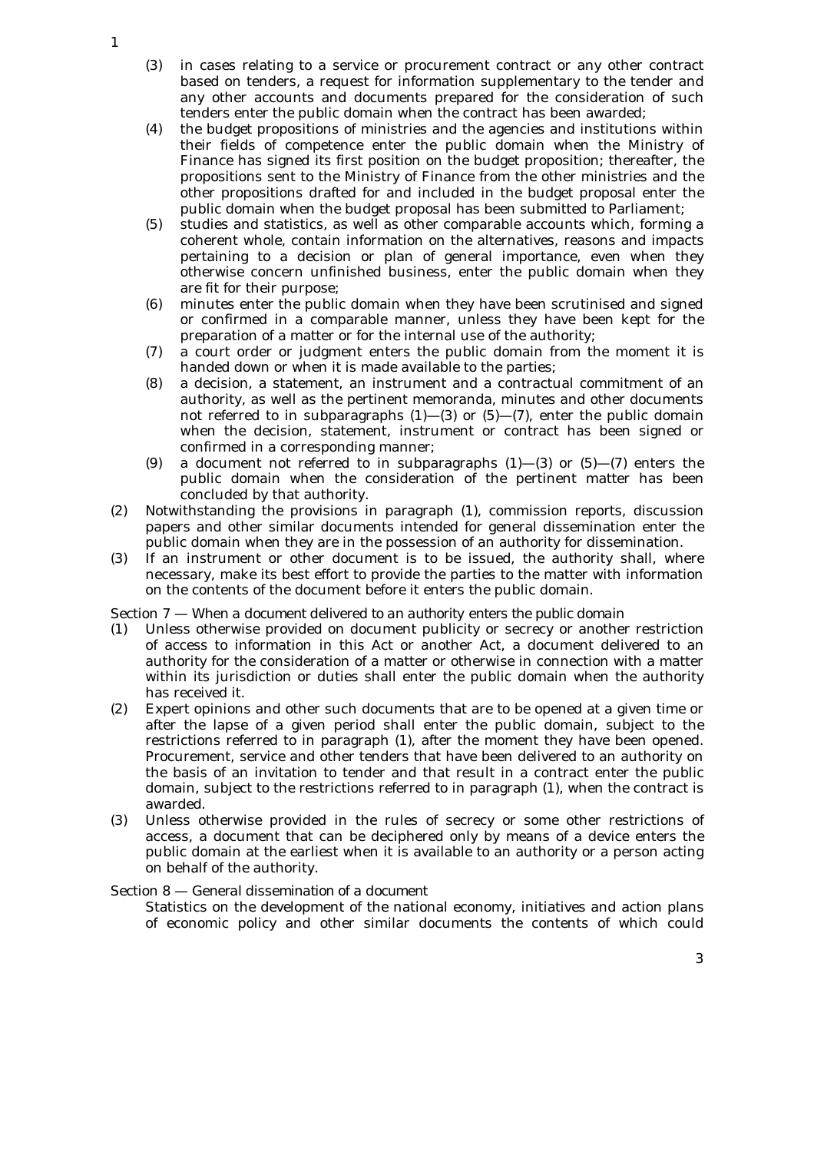- (3) in cases relating to a service or procurement contract or any other contract based on tenders, a request for information supplementary to the tender and any other accounts and documents prepared for the consideration of such tenders enter the public domain when the contract has been awarded;
- (4) the budget propositions of ministries and the agencies and institutions within their fields of competence enter the public domain when the Ministry of Finance has signed its first position on the budget proposition; thereafter, the propositions sent to the Ministry of Finance from the other ministries and the other propositions drafted for and included in the budget proposal enter the public domain when the budget proposal has been submitted to Parliament;
- (5) studies and statistics, as well as other comparable accounts which, forming a coherent whole, contain information on the alternatives, reasons and impacts pertaining to a decision or plan of general importance, even when they otherwise concern unfinished business, enter the public domain when they are fit for their purpose;
- (6) minutes enter the public domain when they have been scrutinised and signed or confirmed in a comparable manner, unless they have been kept for the preparation of a matter or for the internal use of the authority;
- (7) a court order or judgment enters the public domain from the moment it is handed down or when it is made available to the parties;
- (8) a decision, a statement, an instrument and a contractual commitment of an authority, as well as the pertinent memoranda, minutes and other documents not referred to in subparagraphs  $(1)$ — $(3)$  or  $(5)$ — $(7)$ , enter the public domain when the decision, statement, instrument or contract has been signed or confirmed in a corresponding manner;
- (9) a document not referred to in subparagraphs  $(1)$ — $(3)$  or  $(5)$ — $(7)$  enters the public domain when the consideration of the pertinent matter has been concluded by that authority.
- (2) Notwithstanding the provisions in paragraph (1), commission reports, discussion papers and other similar documents intended for general dissemination enter the public domain when they are in the possession of an authority for dissemination.
- (3) If an instrument or other document is to be issued, the authority shall, where necessary, make its best effort to provide the parties to the matter with information on the contents of the document before it enters the public domain.

## Section 7 — *When a document delivered to an authority enters the public domain*

- (1) Unless otherwise provided on document publicity or secrecy or another restriction of access to information in this Act or another Act, a document delivered to an authority for the consideration of a matter or otherwise in connection with a matter within its jurisdiction or duties shall enter the public domain when the authority has received it.
- (2) Expert opinions and other such documents that are to be opened at a given time or after the lapse of a given period shall enter the public domain, subject to the restrictions referred to in paragraph (1), after the moment they have been opened. Procurement, service and other tenders that have been delivered to an authority on the basis of an invitation to tender and that result in a contract enter the public domain, subject to the restrictions referred to in paragraph (1), when the contract is awarded.
- (3) Unless otherwise provided in the rules of secrecy or some other restrictions of access, a document that can be deciphered only by means of a device enters the public domain at the earliest when it is available to an authority or a person acting on behalf of the authority.

# Section 8 — *General dissemination of a document*

Statistics on the development of the national economy, initiatives and action plans of economic policy and other similar documents the contents of which could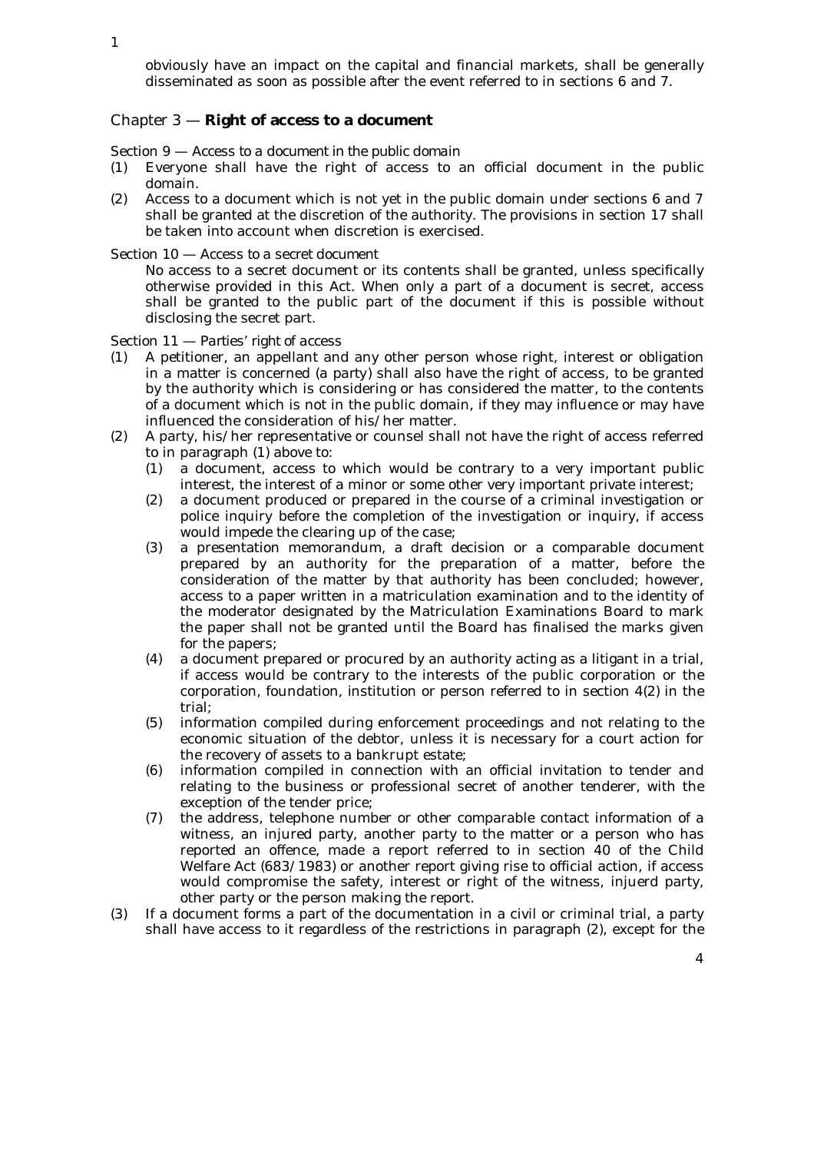obviously have an impact on the capital and financial markets, shall be generally disseminated as soon as possible after the event referred to in sections 6 and 7.

## Chapter 3 — **Right of access to a document**

Section 9 — *Access to a document in the public domain*

- (1) Everyone shall have the right of access to an official document in the public domain.
- (2) Access to a document which is not yet in the public domain under sections 6 and 7 shall be granted at the discretion of the authority. The provisions in section 17 shall be taken into account when discretion is exercised.

Section 10 — *Access to a secret document*

No access to a secret document or its contents shall be granted, unless specifically otherwise provided in this Act. When only a part of a document is secret, access shall be granted to the public part of the document if this is possible without disclosing the secret part.

Section 11 — *Parties' right of access*

- (1) A petitioner, an appellant and any other person whose right, interest or obligation in a matter is concerned (*a party*) shall also have the right of access, to be granted by the authority which is considering or has considered the matter, to the contents of a document which is not in the public domain, if they may influence or may have influenced the consideration of his/her matter.
- (2) A party, his/her representative or counsel shall not have the right of access referred to in paragraph (1) above to:
	- (1) a document, access to which would be contrary to a very important public interest, the interest of a minor or some other very important private interest;
	- (2) a document produced or prepared in the course of a criminal investigation or police inquiry before the completion of the investigation or inquiry, if access would impede the clearing up of the case;
	- (3) a presentation memorandum, a draft decision or a comparable document prepared by an authority for the preparation of a matter, before the consideration of the matter by that authority has been concluded; however, access to a paper written in a matriculation examination and to the identity of the moderator designated by the Matriculation Examinations Board to mark the paper shall not be granted until the Board has finalised the marks given for the papers;
	- (4) a document prepared or procured by an authority acting as a litigant in a trial, if access would be contrary to the interests of the public corporation or the corporation, foundation, institution or person referred to in section 4(2) in the trial;
	- (5) information compiled during enforcement proceedings and not relating to the economic situation of the debtor, unless it is necessary for a court action for the recovery of assets to a bankrupt estate;
	- (6) information compiled in connection with an official invitation to tender and relating to the business or professional secret of another tenderer, with the exception of the tender price;
	- (7) the address, telephone number or other comparable contact information of a witness, an injured party, another party to the matter or a person who has reported an offence, made a report referred to in section 40 of the Child Welfare Act (683/1983) or another report giving rise to official action, if access would compromise the safety, interest or right of the witness, injuerd party, other party or the person making the report.
- (3) If a document forms a part of the documentation in a civil or criminal trial, a party shall have access to it regardless of the restrictions in paragraph (2), except for the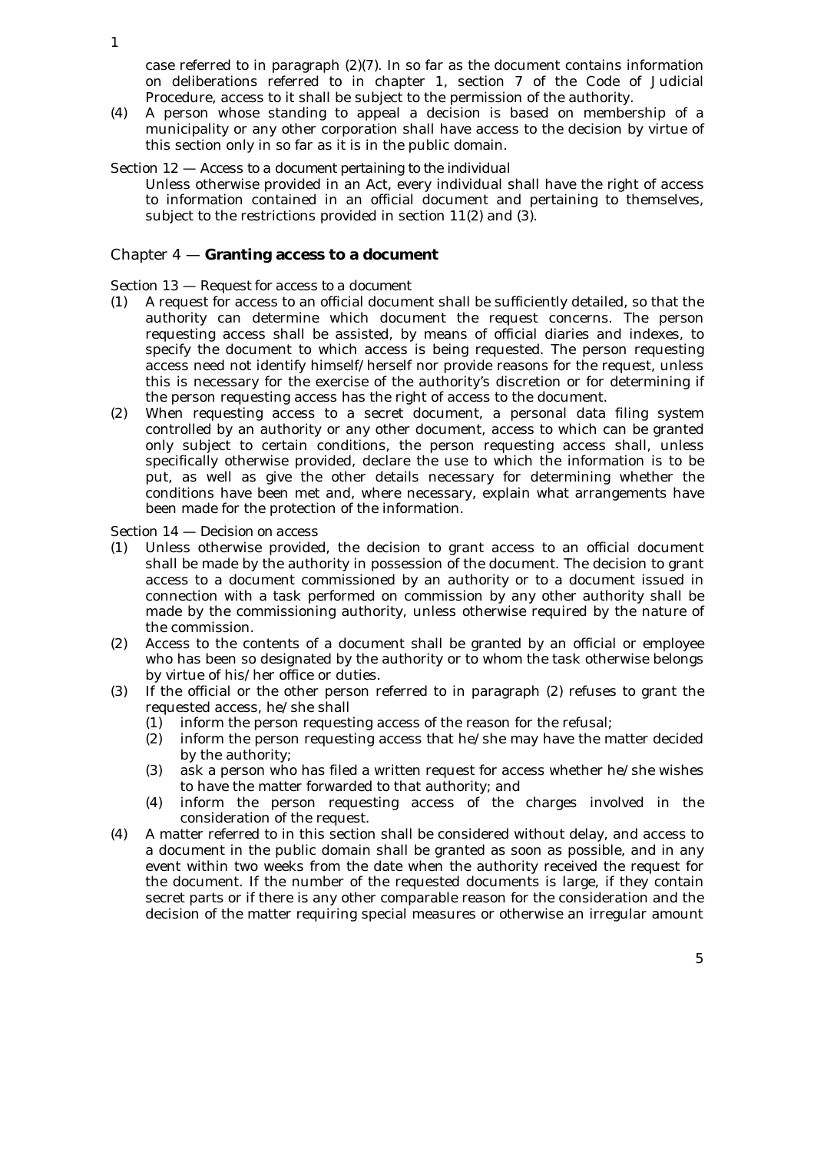case referred to in paragraph (2)(7). In so far as the document contains information on deliberations referred to in chapter 1, section 7 of the Code of Judicial Procedure, access to it shall be subject to the permission of the authority.

- (4) A person whose standing to appeal a decision is based on membership of a municipality or any other corporation shall have access to the decision by virtue of this section only in so far as it is in the public domain.
- Section 12 *Access to a document pertaining to the individual*
	- Unless otherwise provided in an Act, every individual shall have the right of access to information contained in an official document and pertaining to themselves, subject to the restrictions provided in section  $11(2)$  and  $(3)$ .

#### Chapter 4 — **Granting access to a document**

#### Section 13 — *Request for access to a document*

- (1) A request for access to an official document shall be sufficiently detailed, so that the authority can determine which document the request concerns. The person requesting access shall be assisted, by means of official diaries and indexes, to specify the document to which access is being requested. The person requesting access need not identify himself/herself nor provide reasons for the request, unless this is necessary for the exercise of the authority's discretion or for determining if the person requesting access has the right of access to the document.
- (2) When requesting access to a secret document, a personal data filing system controlled by an authority or any other document, access to which can be granted only subject to certain conditions, the person requesting access shall, unless specifically otherwise provided, declare the use to which the information is to be put, as well as give the other details necessary for determining whether the conditions have been met and, where necessary, explain what arrangements have been made for the protection of the information.

#### Section 14 — *Decision on access*

- (1) Unless otherwise provided, the decision to grant access to an official document shall be made by the authority in possession of the document. The decision to grant access to a document commissioned by an authority or to a document issued in connection with a task performed on commission by any other authority shall be made by the commissioning authority, unless otherwise required by the nature of the commission.
- (2) Access to the contents of a document shall be granted by an official or employee who has been so designated by the authority or to whom the task otherwise belongs by virtue of his/her office or duties.
- (3) If the official or the other person referred to in paragraph (2) refuses to grant the requested access, he/she shall
	- (1) inform the person requesting access of the reason for the refusal;
	- (2) inform the person requesting access that he/she may have the matter decided by the authority;
	- (3) ask a person who has filed a written request for access whether he/she wishes to have the matter forwarded to that authority; and
	- (4) inform the person requesting access of the charges involved in the consideration of the request.
- (4) A matter referred to in this section shall be considered without delay, and access to a document in the public domain shall be granted as soon as possible, and in any event within two weeks from the date when the authority received the request for the document. If the number of the requested documents is large, if they contain secret parts or if there is any other comparable reason for the consideration and the decision of the matter requiring special measures or otherwise an irregular amount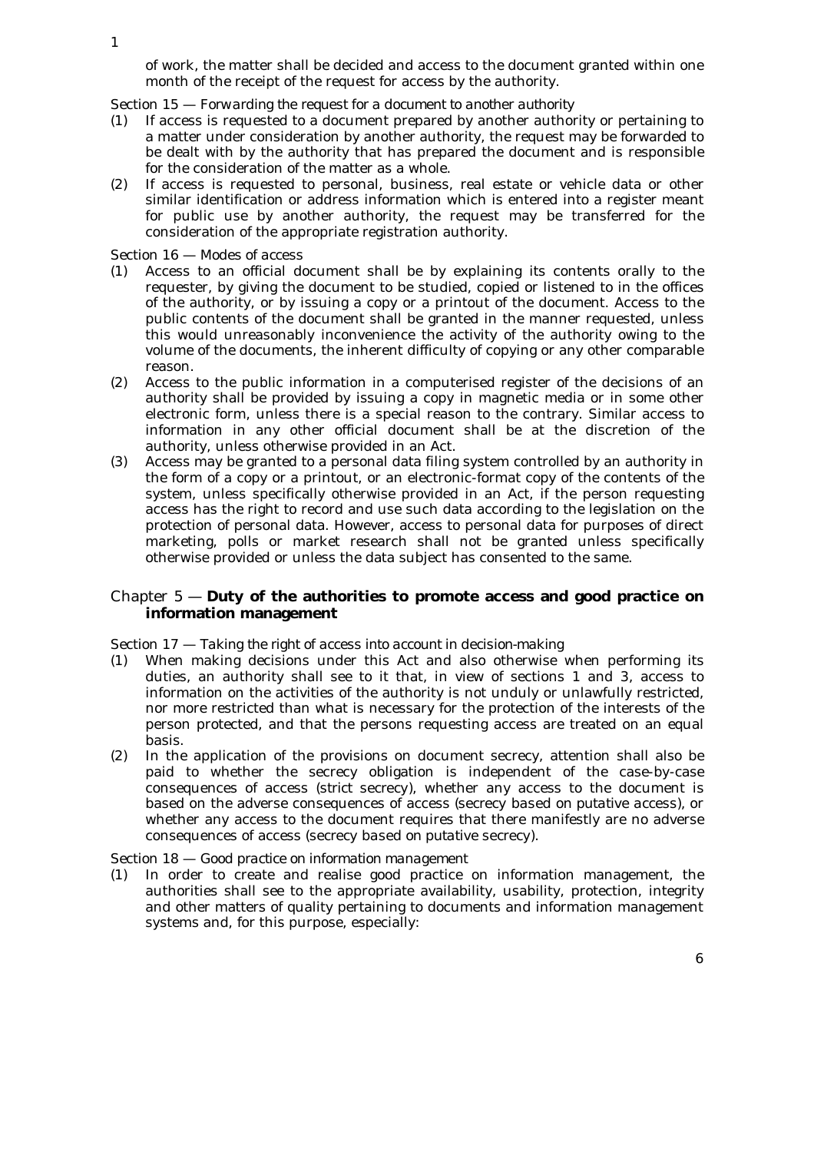of work, the matter shall be decided and access to the document granted within one month of the receipt of the request for access by the authority.

Section 15 — *Forwarding the request for a document to another authority*

- (1) If access is requested to a document prepared by another authority or pertaining to a matter under consideration by another authority, the request may be forwarded to be dealt with by the authority that has prepared the document and is responsible for the consideration of the matter as a whole.
- (2) If access is requested to personal, business, real estate or vehicle data or other similar identification or address information which is entered into a register meant for public use by another authority, the request may be transferred for the consideration of the appropriate registration authority.

## Section 16 — *Modes of access*

- (1) Access to an official document shall be by explaining its contents orally to the requester, by giving the document to be studied, copied or listened to in the offices of the authority, or by issuing a copy or a printout of the document. Access to the public contents of the document shall be granted in the manner requested, unless this would unreasonably inconvenience the activity of the authority owing to the volume of the documents, the inherent difficulty of copying or any other comparable reason.
- (2) Access to the public information in a computerised register of the decisions of an authority shall be provided by issuing a copy in magnetic media or in some other electronic form, unless there is a special reason to the contrary. Similar access to information in any other official document shall be at the discretion of the authority, unless otherwise provided in an Act.
- (3) Access may be granted to a personal data filing system controlled by an authority in the form of a copy or a printout, or an electronic-format copy of the contents of the system, unless specifically otherwise provided in an Act, if the person requesting access has the right to record and use such data according to the legislation on the protection of personal data. However, access to personal data for purposes of direct marketing, polls or market research shall not be granted unless specifically otherwise provided or unless the data subject has consented to the same.

# Chapter 5 — **Duty of the authorities to promote access and good practice on information management**

## Section 17 — *Taking the right of access into account in decision-making*

- (1) When making decisions under this Act and also otherwise when performing its duties, an authority shall see to it that, in view of sections 1 and 3, access to information on the activities of the authority is not unduly or unlawfully restricted, nor more restricted than what is necessary for the protection of the interests of the person protected, and that the persons requesting access are treated on an equal basis.
- (2) In the application of the provisions on document secrecy, attention shall also be paid to whether the secrecy obligation is independent of the case-by-case consequences of access (*strict secrecy*), whether any access to the document is based on the adverse consequences of access (*secrecy based on putative access*), or whether any access to the document requires that there manifestly are no adverse consequences of access (*secrecy based on putative secrecy*).

Section 18 — *Good practice on information management*

(1) In order to create and realise good practice on information management, the authorities shall see to the appropriate availability, usability, protection, integrity and other matters of quality pertaining to documents and information management systems and, for this purpose, especially: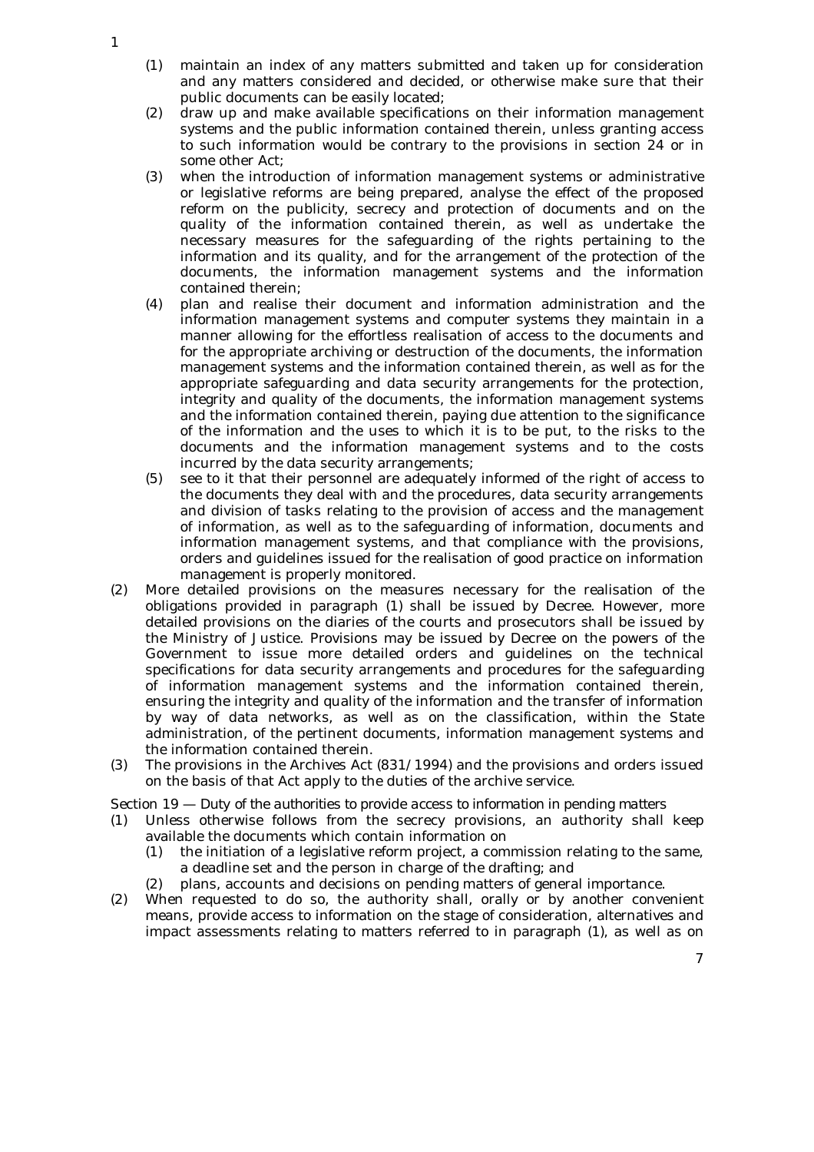- (1) maintain an index of any matters submitted and taken up for consideration and any matters considered and decided, or otherwise make sure that their public documents can be easily located;
- (2) draw up and make available specifications on their information management systems and the public information contained therein, unless granting access to such information would be contrary to the provisions in section 24 or in some other Act;
- (3) when the introduction of information management systems or administrative or legislative reforms are being prepared, analyse the effect of the proposed reform on the publicity, secrecy and protection of documents and on the quality of the information contained therein, as well as undertake the necessary measures for the safeguarding of the rights pertaining to the information and its quality, and for the arrangement of the protection of the documents, the information management systems and the information contained therein;
- (4) plan and realise their document and information administration and the information management systems and computer systems they maintain in a manner allowing for the effortless realisation of access to the documents and for the appropriate archiving or destruction of the documents, the information management systems and the information contained therein, as well as for the appropriate safeguarding and data security arrangements for the protection, integrity and quality of the documents, the information management systems and the information contained therein, paying due attention to the significance of the information and the uses to which it is to be put, to the risks to the documents and the information management systems and to the costs incurred by the data security arrangements;
- (5) see to it that their personnel are adequately informed of the right of access to the documents they deal with and the procedures, data security arrangements and division of tasks relating to the provision of access and the management of information, as well as to the safeguarding of information, documents and information management systems, and that compliance with the provisions, orders and guidelines issued for the realisation of good practice on information management is properly monitored.
- (2) More detailed provisions on the measures necessary for the realisation of the obligations provided in paragraph (1) shall be issued by Decree. However, more detailed provisions on the diaries of the courts and prosecutors shall be issued by the Ministry of Justice. Provisions may be issued by Decree on the powers of the Government to issue more detailed orders and guidelines on the technical specifications for data security arrangements and procedures for the safeguarding of information management systems and the information contained therein, ensuring the integrity and quality of the information and the transfer of information by way of data networks, as well as on the classification, within the State administration, of the pertinent documents, information management systems and the information contained therein.
- (3) The provisions in the Archives Act (831/1994) and the provisions and orders issued on the basis of that Act apply to the duties of the archive service.

Section 19 — *Duty of the authorities to provide access to information in pending matters*

- (1) Unless otherwise follows from the secrecy provisions, an authority shall keep available the documents which contain information on
	- (1) the initiation of a legislative reform project, a commission relating to the same, a deadline set and the person in charge of the drafting; and
	- (2) plans, accounts and decisions on pending matters of general importance.
- (2) When requested to do so, the authority shall, orally or by another convenient means, provide access to information on the stage of consideration, alternatives and impact assessments relating to matters referred to in paragraph (1), as well as on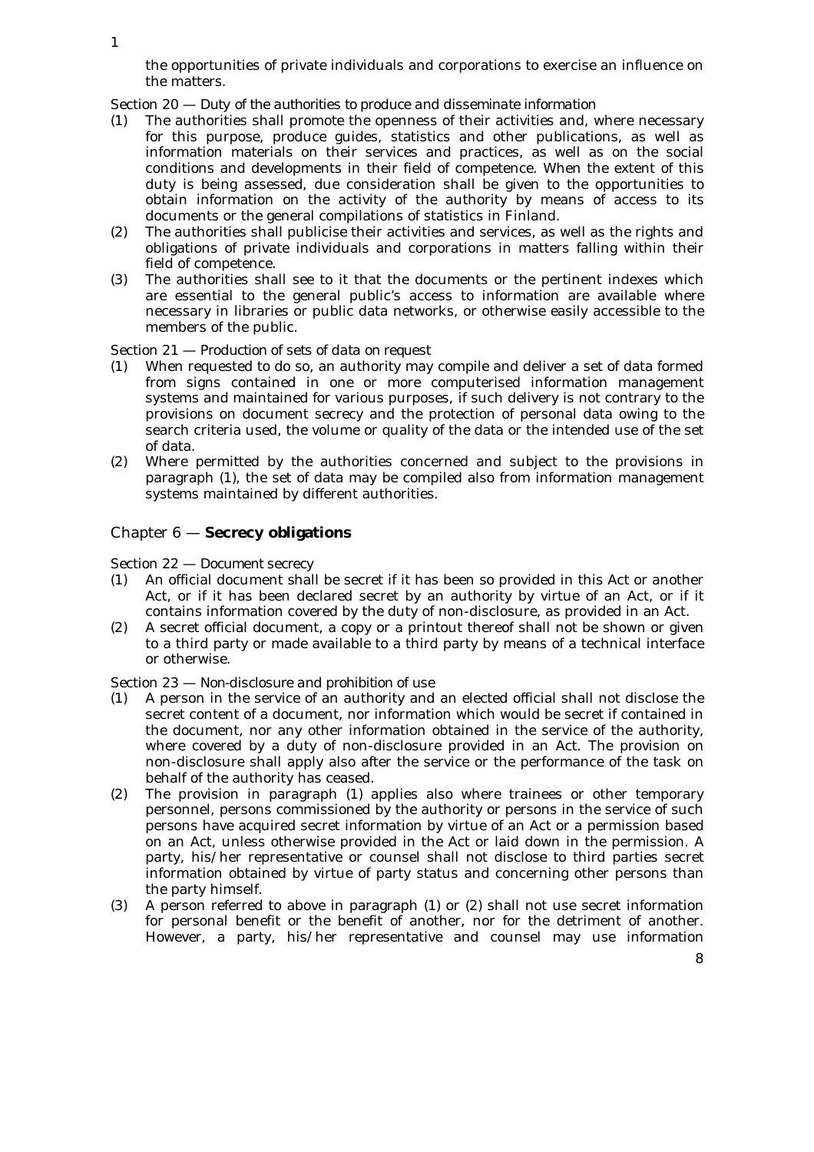the opportunities of private individuals and corporations to exercise an influence on the matters.

Section 20 — *Duty of the authorities to produce and disseminate information*

- (1) The authorities shall promote the openness of their activities and, where necessary for this purpose, produce guides, statistics and other publications, as well as information materials on their services and practices, as well as on the social conditions and developments in their field of competence. When the extent of this duty is being assessed, due consideration shall be given to the opportunities to obtain information on the activity of the authority by means of access to its documents or the general compilations of statistics in Finland.
- (2) The authorities shall publicise their activities and services, as well as the rights and obligations of private individuals and corporations in matters falling within their field of competence.
- (3) The authorities shall see to it that the documents or the pertinent indexes which are essential to the general public's access to information are available where necessary in libraries or public data networks, or otherwise easily accessible to the members of the public.

#### Section 21 — *Production of sets of data on request*

- (1) When requested to do so, an authority may compile and deliver a set of data formed from signs contained in one or more computerised information management systems and maintained for various purposes, if such delivery is not contrary to the provisions on document secrecy and the protection of personal data owing to the search criteria used, the volume or quality of the data or the intended use of the set of data.
- (2) Where permitted by the authorities concerned and subject to the provisions in paragraph (1), the set of data may be compiled also from information management systems maintained by different authorities.

## Chapter 6 — **Secrecy obligations**

Section 22 — *Document secrecy*

- (1) An official document shall be secret if it has been so provided in this Act or another Act, or if it has been declared secret by an authority by virtue of an Act, or if it contains information covered by the duty of non-disclosure, as provided in an Act.
- (2) A secret official document, a copy or a printout thereof shall not be shown or given to a third party or made available to a third party by means of a technical interface or otherwise.

#### Section 23 — *Non-disclosure and prohibition of use*

- (1) A person in the service of an authority and an elected official shall not disclose the secret content of a document, nor information which would be secret if contained in the document, nor any other information obtained in the service of the authority, where covered by a duty of non-disclosure provided in an Act. The provision on non-disclosure shall apply also after the service or the performance of the task on behalf of the authority has ceased.
- (2) The provision in paragraph (1) applies also where trainees or other temporary personnel, persons commissioned by the authority or persons in the service of such persons have acquired secret information by virtue of an Act or a permission based on an Act, unless otherwise provided in the Act or laid down in the permission. A party, his/her representative or counsel shall not disclose to third parties secret information obtained by virtue of party status and concerning other persons than the party himself.
- (3) A person referred to above in paragraph (1) or (2) shall not use secret information for personal benefit or the benefit of another, nor for the detriment of another. However, a party, his/her representative and counsel may use information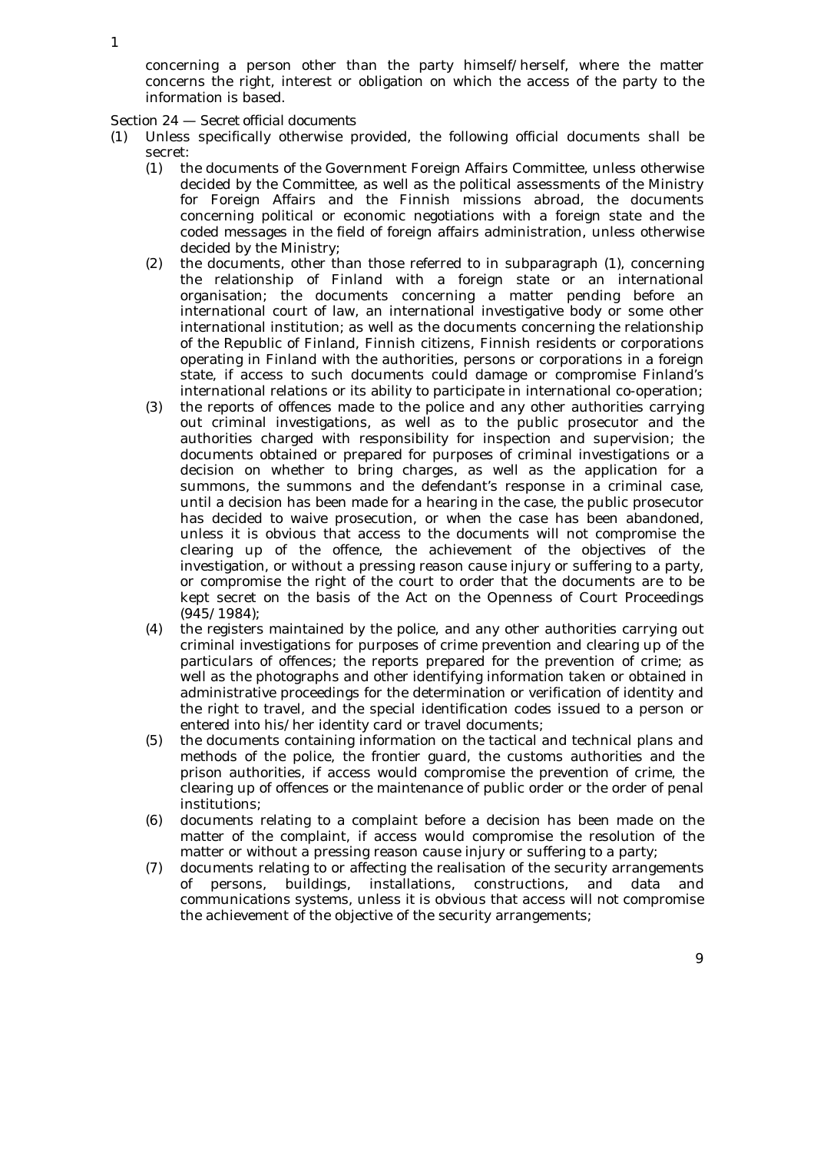concerning a person other than the party himself/herself, where the matter concerns the right, interest or obligation on which the access of the party to the information is based.

Section 24 — *Secret official documents*

- (1) Unless specifically otherwise provided, the following official documents shall be secret:
	- (1) the documents of the Government Foreign Affairs Committee, unless otherwise decided by the Committee, as well as the political assessments of the Ministry for Foreign Affairs and the Finnish missions abroad, the documents concerning political or economic negotiations with a foreign state and the coded messages in the field of foreign affairs administration, unless otherwise decided by the Ministry;
	- (2) the documents, other than those referred to in subparagraph (1), concerning the relationship of Finland with a foreign state or an international organisation; the documents concerning a matter pending before an international court of law, an international investigative body or some other international institution; as well as the documents concerning the relationship of the Republic of Finland, Finnish citizens, Finnish residents or corporations operating in Finland with the authorities, persons or corporations in a foreign state, if access to such documents could damage or compromise Finland's international relations or its ability to participate in international co-operation;
	- (3) the reports of offences made to the police and any other authorities carrying out criminal investigations, as well as to the public prosecutor and the authorities charged with responsibility for inspection and supervision; the documents obtained or prepared for purposes of criminal investigations or a decision on whether to bring charges, as well as the application for a summons, the summons and the defendant's response in a criminal case, until a decision has been made for a hearing in the case, the public prosecutor has decided to waive prosecution, or when the case has been abandoned, unless it is obvious that access to the documents will not compromise the clearing up of the offence, the achievement of the objectives of the investigation, or without a pressing reason cause injury or suffering to a party, or compromise the right of the court to order that the documents are to be kept secret on the basis of the Act on the Openness of Court Proceedings (945/1984);
	- (4) the registers maintained by the police, and any other authorities carrying out criminal investigations for purposes of crime prevention and clearing up of the particulars of offences; the reports prepared for the prevention of crime; as well as the photographs and other identifying information taken or obtained in administrative proceedings for the determination or verification of identity and the right to travel, and the special identification codes issued to a person or entered into his/her identity card or travel documents;
	- (5) the documents containing information on the tactical and technical plans and methods of the police, the frontier guard, the customs authorities and the prison authorities, if access would compromise the prevention of crime, the clearing up of offences or the maintenance of public order or the order of penal institutions;
	- (6) documents relating to a complaint before a decision has been made on the matter of the complaint, if access would compromise the resolution of the matter or without a pressing reason cause injury or suffering to a party;
	- (7) documents relating to or affecting the realisation of the security arrangements of persons, buildings, installations, constructions, and data and communications systems, unless it is obvious that access will not compromise the achievement of the objective of the security arrangements;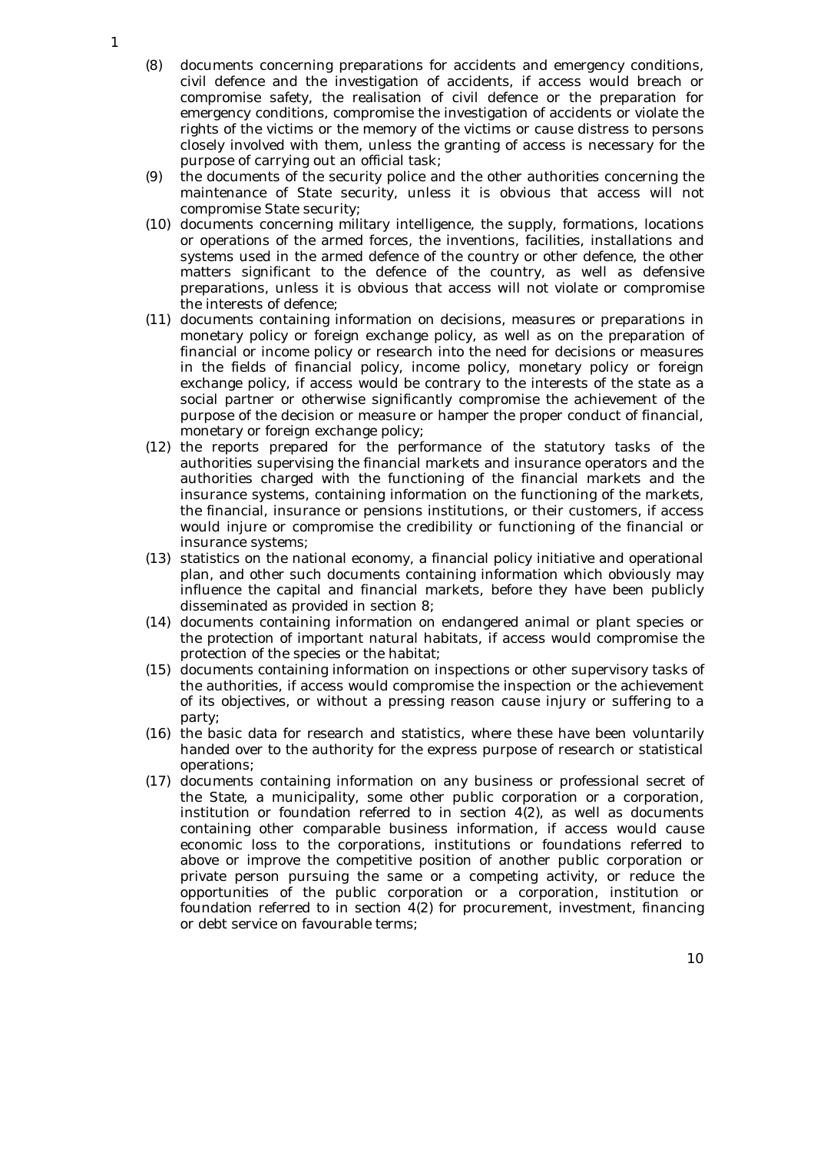- (8) documents concerning preparations for accidents and emergency conditions, civil defence and the investigation of accidents, if access would breach or compromise safety, the realisation of civil defence or the preparation for emergency conditions, compromise the investigation of accidents or violate the rights of the victims or the memory of the victims or cause distress to persons closely involved with them, unless the granting of access is necessary for the purpose of carrying out an official task;
- (9) the documents of the security police and the other authorities concerning the maintenance of State security, unless it is obvious that access will not compromise State security;
- (10) documents concerning military intelligence, the supply, formations, locations or operations of the armed forces, the inventions, facilities, installations and systems used in the armed defence of the country or other defence, the other matters significant to the defence of the country, as well as defensive preparations, unless it is obvious that access will not violate or compromise the interests of defence;
- (11) documents containing information on decisions, measures or preparations in monetary policy or foreign exchange policy, as well as on the preparation of financial or income policy or research into the need for decisions or measures in the fields of financial policy, income policy, monetary policy or foreign exchange policy, if access would be contrary to the interests of the state as a social partner or otherwise significantly compromise the achievement of the purpose of the decision or measure or hamper the proper conduct of financial, monetary or foreign exchange policy;
- (12) the reports prepared for the performance of the statutory tasks of the authorities supervising the financial markets and insurance operators and the authorities charged with the functioning of the financial markets and the insurance systems, containing information on the functioning of the markets, the financial, insurance or pensions institutions, or their customers, if access would injure or compromise the credibility or functioning of the financial or insurance systems;
- (13) statistics on the national economy, a financial policy initiative and operational plan, and other such documents containing information which obviously may influence the capital and financial markets, before they have been publicly disseminated as provided in section 8;
- (14) documents containing information on endangered animal or plant species or the protection of important natural habitats, if access would compromise the protection of the species or the habitat;
- (15) documents containing information on inspections or other supervisory tasks of the authorities, if access would compromise the inspection or the achievement of its objectives, or without a pressing reason cause injury or suffering to a party;
- (16) the basic data for research and statistics, where these have been voluntarily handed over to the authority for the express purpose of research or statistical operations;
- (17) documents containing information on any business or professional secret of the State, a municipality, some other public corporation or a corporation, institution or foundation referred to in section  $4(2)$ , as well as documents containing other comparable business information, if access would cause economic loss to the corporations, institutions or foundations referred to above or improve the competitive position of another public corporation or private person pursuing the same or a competing activity, or reduce the opportunities of the public corporation or a corporation, institution or foundation referred to in section 4(2) for procurement, investment, financing or debt service on favourable terms;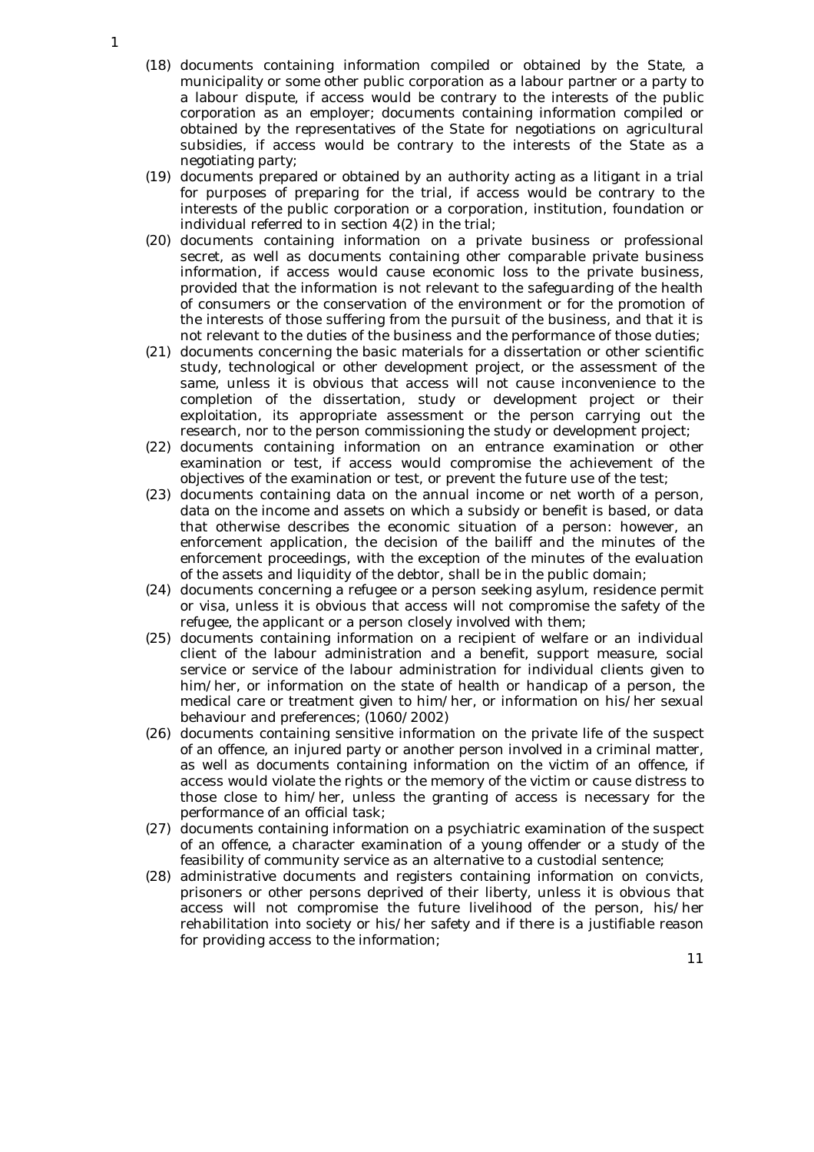- (18) documents containing information compiled or obtained by the State, a municipality or some other public corporation as a labour partner or a party to a labour dispute, if access would be contrary to the interests of the public corporation as an employer; documents containing information compiled or obtained by the representatives of the State for negotiations on agricultural subsidies, if access would be contrary to the interests of the State as a negotiating party;
- (19) documents prepared or obtained by an authority acting as a litigant in a trial for purposes of preparing for the trial, if access would be contrary to the interests of the public corporation or a corporation, institution, foundation or individual referred to in section 4(2) in the trial;
- (20) documents containing information on a private business or professional secret, as well as documents containing other comparable private business information, if access would cause economic loss to the private business, provided that the information is not relevant to the safeguarding of the health of consumers or the conservation of the environment or for the promotion of the interests of those suffering from the pursuit of the business, and that it is not relevant to the duties of the business and the performance of those duties;
- (21) documents concerning the basic materials for a dissertation or other scientific study, technological or other development project, or the assessment of the same, unless it is obvious that access will not cause inconvenience to the completion of the dissertation, study or development project or their exploitation, its appropriate assessment or the person carrying out the research, nor to the person commissioning the study or development project;
- (22) documents containing information on an entrance examination or other examination or test, if access would compromise the achievement of the objectives of the examination or test, or prevent the future use of the test;
- (23) documents containing data on the annual income or net worth of a person, data on the income and assets on which a subsidy or benefit is based, or data that otherwise describes the economic situation of a person: however, an enforcement application, the decision of the bailiff and the minutes of the enforcement proceedings, with the exception of the minutes of the evaluation of the assets and liquidity of the debtor, shall be in the public domain;
- (24) documents concerning a refugee or a person seeking asylum, residence permit or visa, unless it is obvious that access will not compromise the safety of the refugee, the applicant or a person closely involved with them;
- (25) documents containing information on a recipient of welfare or an individual client of the labour administration and a benefit, support measure, social service or service of the labour administration for individual clients given to him/her, or information on the state of health or handicap of a person, the medical care or treatment given to him/her, or information on his/her sexual behaviour and preferences; (1060/2002)
- (26) documents containing sensitive information on the private life of the suspect of an offence, an injured party or another person involved in a criminal matter, as well as documents containing information on the victim of an offence, if access would violate the rights or the memory of the victim or cause distress to those close to him/her, unless the granting of access is necessary for the performance of an official task;
- (27) documents containing information on a psychiatric examination of the suspect of an offence, a character examination of a young offender or a study of the feasibility of community service as an alternative to a custodial sentence;
- (28) administrative documents and registers containing information on convicts, prisoners or other persons deprived of their liberty, unless it is obvious that access will not compromise the future livelihood of the person, his/her rehabilitation into society or his/her safety and if there is a justifiable reason for providing access to the information;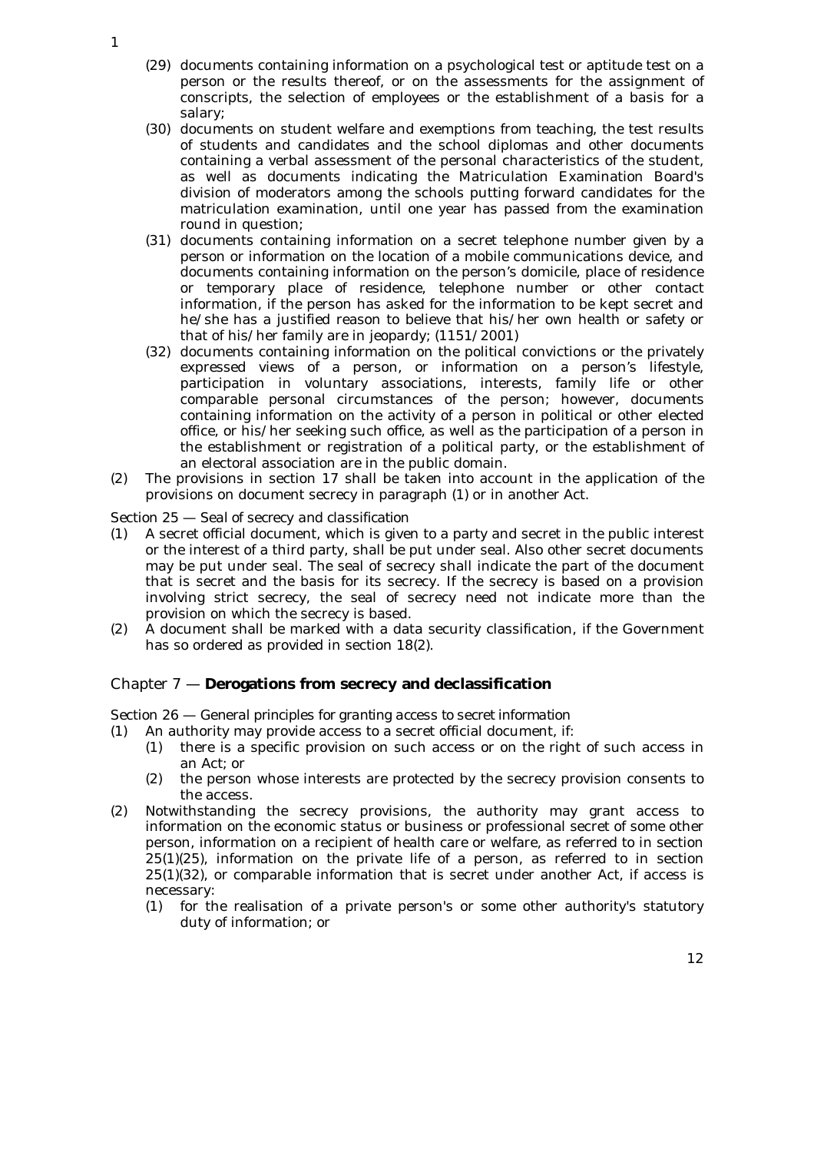- (29) documents containing information on a psychological test or aptitude test on a person or the results thereof, or on the assessments for the assignment of conscripts, the selection of employees or the establishment of a basis for a salary;
- (30) documents on student welfare and exemptions from teaching, the test results of students and candidates and the school diplomas and other documents containing a verbal assessment of the personal characteristics of the student, as well as documents indicating the Matriculation Examination Board's division of moderators among the schools putting forward candidates for the matriculation examination, until one year has passed from the examination round in question;
- (31) documents containing information on a secret telephone number given by a person or information on the location of a mobile communications device, and documents containing information on the person's domicile, place of residence or temporary place of residence, telephone number or other contact information, if the person has asked for the information to be kept secret and he/she has a justified reason to believe that his/her own health or safety or that of his/her family are in jeopardy; (1151/2001)
- (32) documents containing information on the political convictions or the privately expressed views of a person, or information on a person's lifestyle, participation in voluntary associations, interests, family life or other comparable personal circumstances of the person; however, documents containing information on the activity of a person in political or other elected office, or his/her seeking such office, as well as the participation of a person in the establishment or registration of a political party, or the establishment of an electoral association are in the public domain.
- (2) The provisions in section 17 shall be taken into account in the application of the provisions on document secrecy in paragraph (1) or in another Act.

## Section 25 — *Seal of secrecy and classification*

- (1) A secret official document, which is given to a party and secret in the public interest or the interest of a third party, shall be put under seal. Also other secret documents may be put under seal. The seal of secrecy shall indicate the part of the document that is secret and the basis for its secrecy. If the secrecy is based on a provision involving strict secrecy, the seal of secrecy need not indicate more than the provision on which the secrecy is based.
- (2) A document shall be marked with a data security classification, if the Government has so ordered as provided in section 18(2).

#### Chapter 7 — **Derogations from secrecy and declassification**

Section 26 — *General principles for granting access to secret information*

- (1) An authority may provide access to a secret official document, if:
	- (1) there is a specific provision on such access or on the right of such access in an Act; or
	- (2) the person whose interests are protected by the secrecy provision consents to the access.
- (2) Notwithstanding the secrecy provisions, the authority may grant access to information on the economic status or business or professional secret of some other person, information on a recipient of health care or welfare, as referred to in section  $25(1)(25)$ , information on the private life of a person, as referred to in section 25(1)(32), or comparable information that is secret under another Act, if access is necessary:
	- (1) for the realisation of a private person's or some other authority's statutory duty of information; or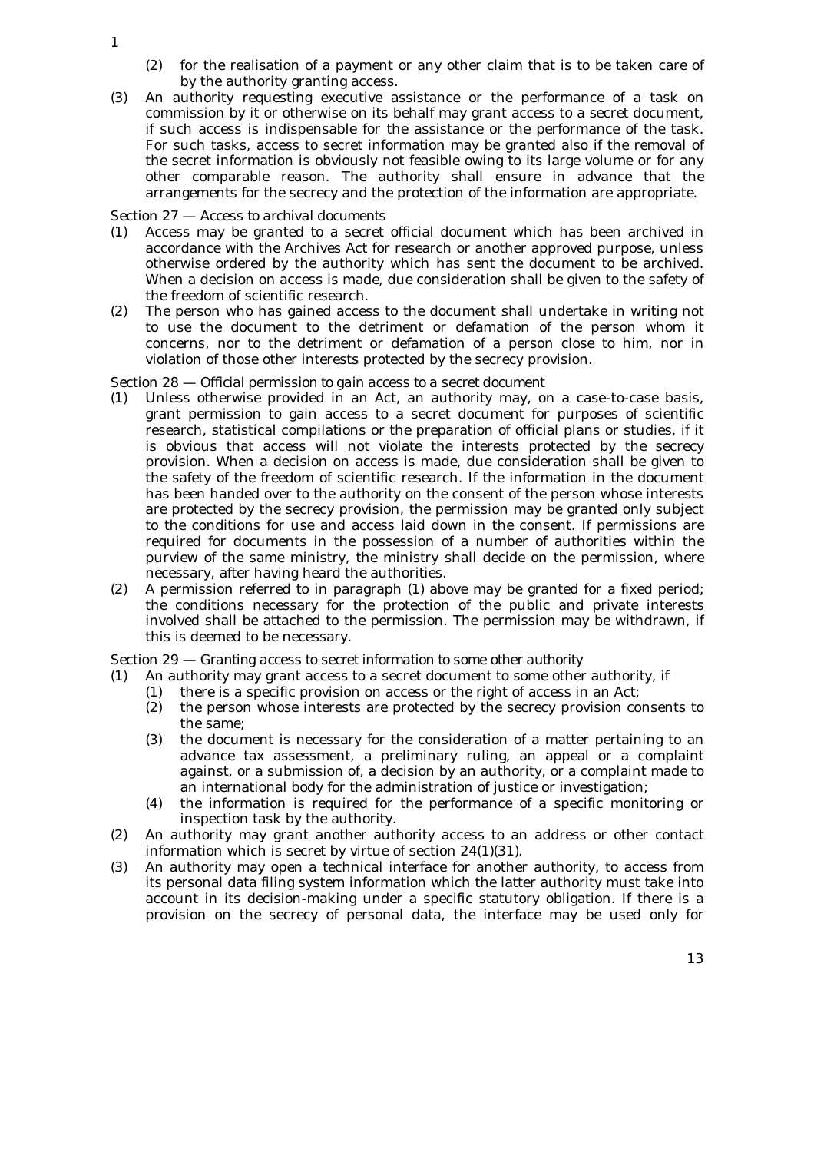- (2) for the realisation of a payment or any other claim that is to be taken care of by the authority granting access.
- (3) An authority requesting executive assistance or the performance of a task on commission by it or otherwise on its behalf may grant access to a secret document, if such access is indispensable for the assistance or the performance of the task. For such tasks, access to secret information may be granted also if the removal of the secret information is obviously not feasible owing to its large volume or for any other comparable reason. The authority shall ensure in advance that the arrangements for the secrecy and the protection of the information are appropriate.

Section 27 — *Access to archival documents*

- (1) Access may be granted to a secret official document which has been archived in accordance with the Archives Act for research or another approved purpose, unless otherwise ordered by the authority which has sent the document to be archived. When a decision on access is made, due consideration shall be given to the safety of the freedom of scientific research.
- (2) The person who has gained access to the document shall undertake in writing not to use the document to the detriment or defamation of the person whom it concerns, nor to the detriment or defamation of a person close to him, nor in violation of those other interests protected by the secrecy provision.

Section 28 — *Official permission to gain access to a secret document*

- Unless otherwise provided in an Act, an authority may, on a case-to-case basis, grant permission to gain access to a secret document for purposes of scientific research, statistical compilations or the preparation of official plans or studies, if it is obvious that access will not violate the interests protected by the secrecy provision. When a decision on access is made, due consideration shall be given to the safety of the freedom of scientific research. If the information in the document has been handed over to the authority on the consent of the person whose interests are protected by the secrecy provision, the permission may be granted only subject to the conditions for use and access laid down in the consent. If permissions are required for documents in the possession of a number of authorities within the purview of the same ministry, the ministry shall decide on the permission, where necessary, after having heard the authorities.
- (2) A permission referred to in paragraph (1) above may be granted for a fixed period; the conditions necessary for the protection of the public and private interests involved shall be attached to the permission. The permission may be withdrawn, if this is deemed to be necessary.

Section 29 — *Granting access to secret information to some other authority*

- (1) An authority may grant access to a secret document to some other authority, if
	- (1) there is a specific provision on access or the right of access in an Act;
	- (2) the person whose interests are protected by the secrecy provision consents to the same;
	- (3) the document is necessary for the consideration of a matter pertaining to an advance tax assessment, a preliminary ruling, an appeal or a complaint against, or a submission of, a decision by an authority, or a complaint made to an international body for the administration of justice or investigation;
	- (4) the information is required for the performance of a specific monitoring or inspection task by the authority.
- (2) An authority may grant another authority access to an address or other contact information which is secret by virtue of section 24(1)(31).
- (3) An authority may open a technical interface for another authority, to access from its personal data filing system information which the latter authority must take into account in its decision-making under a specific statutory obligation. If there is a provision on the secrecy of personal data, the interface may be used only for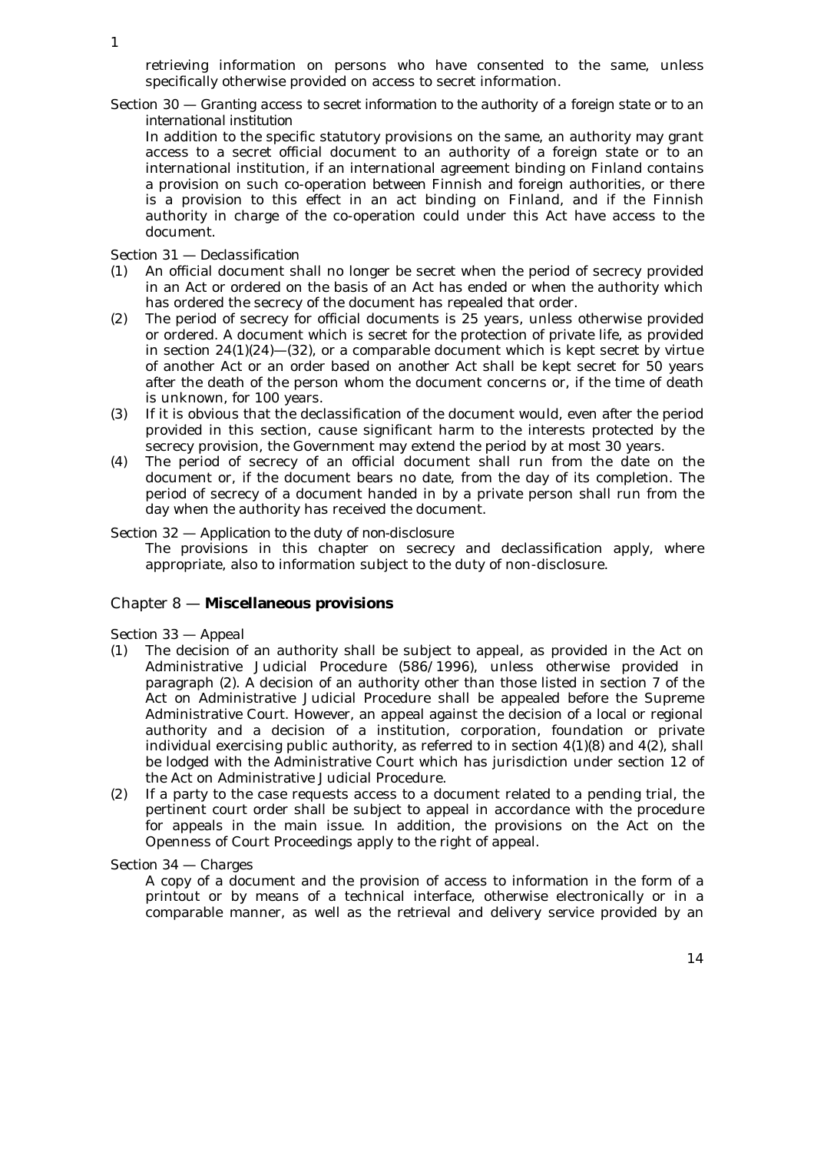retrieving information on persons who have consented to the same, unless specifically otherwise provided on access to secret information.

Section 30 — *Granting access to secret information to the authority of a foreign state or to an international institution*

In addition to the specific statutory provisions on the same, an authority may grant access to a secret official document to an authority of a foreign state or to an international institution, if an international agreement binding on Finland contains a provision on such co-operation between Finnish and foreign authorities, or there is a provision to this effect in an act binding on Finland, and if the Finnish authority in charge of the co-operation could under this Act have access to the document.

## Section 31 — *Declassification*

- (1) An official document shall no longer be secret when the period of secrecy provided in an Act or ordered on the basis of an Act has ended or when the authority which has ordered the secrecy of the document has repealed that order.
- (2) The period of secrecy for official documents is 25 years, unless otherwise provided or ordered. A document which is secret for the protection of private life, as provided in section  $24(1)(24)$ — $(32)$ , or a comparable document which is kept secret by virtue of another Act or an order based on another Act shall be kept secret for 50 years after the death of the person whom the document concerns or, if the time of death is unknown, for 100 years.
- (3) If it is obvious that the declassification of the document would, even after the period provided in this section, cause significant harm to the interests protected by the secrecy provision, the Government may extend the period by at most 30 years.
- (4) The period of secrecy of an official document shall run from the date on the document or, if the document bears no date, from the day of its completion. The period of secrecy of a document handed in by a private person shall run from the day when the authority has received the document.

#### Section 32 — *Application to the duty of non-disclosure*

The provisions in this chapter on secrecy and declassification apply, where appropriate, also to information subject to the duty of non-disclosure.

# Chapter 8 — **Miscellaneous provisions**

## Section 33 — *Appeal*

- (1) The decision of an authority shall be subject to appeal, as provided in the Act on Administrative Judicial Procedure (586/1996), unless otherwise provided in paragraph (2). A decision of an authority other than those listed in section 7 of the Act on Administrative Judicial Procedure shall be appealed before the Supreme Administrative Court. However, an appeal against the decision of a local or regional authority and a decision of a institution, corporation, foundation or private individual exercising public authority, as referred to in section  $4(1)(8)$  and  $4(2)$ , shall be lodged with the Administrative Court which has jurisdiction under section 12 of the Act on Administrative Judicial Procedure.
- (2) If a party to the case requests access to a document related to a pending trial, the pertinent court order shall be subject to appeal in accordance with the procedure for appeals in the main issue. In addition, the provisions on the Act on the Openness of Court Proceedings apply to the right of appeal.

Section 34 — *Charges*

A copy of a document and the provision of access to information in the form of a printout or by means of a technical interface, otherwise electronically or in a comparable manner, as well as the retrieval and delivery service provided by an